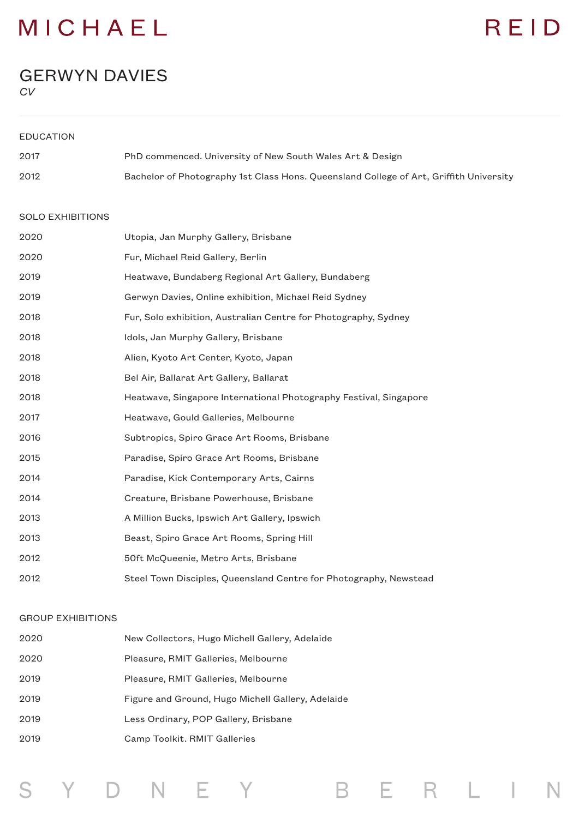### MICHAEL

## REID

B E R L I

N

#### GERWYN DAVIES

*CV*

| <b>EDUCATION</b> |                                                                                        |
|------------------|----------------------------------------------------------------------------------------|
| 2017             | PhD commenced. University of New South Wales Art & Design                              |
| 2012             | Bachelor of Photography 1st Class Hons. Queensland College of Art, Griffith University |

#### SOLO EXHIBITIONS

| 2020 | Utopia, Jan Murphy Gallery, Brisbane                              |
|------|-------------------------------------------------------------------|
| 2020 | Fur, Michael Reid Gallery, Berlin                                 |
| 2019 | Heatwave, Bundaberg Regional Art Gallery, Bundaberg               |
| 2019 | Gerwyn Davies, Online exhibition, Michael Reid Sydney             |
| 2018 | Fur, Solo exhibition, Australian Centre for Photography, Sydney   |
| 2018 | Idols, Jan Murphy Gallery, Brisbane                               |
| 2018 | Alien, Kyoto Art Center, Kyoto, Japan                             |
| 2018 | Bel Air, Ballarat Art Gallery, Ballarat                           |
| 2018 | Heatwave, Singapore International Photography Festival, Singapore |
| 2017 | Heatwave, Gould Galleries, Melbourne                              |
| 2016 | Subtropics, Spiro Grace Art Rooms, Brisbane                       |
| 2015 | Paradise, Spiro Grace Art Rooms, Brisbane                         |
| 2014 | Paradise, Kick Contemporary Arts, Cairns                          |
| 2014 | Creature, Brisbane Powerhouse, Brisbane                           |
| 2013 | A Million Bucks, Ipswich Art Gallery, Ipswich                     |
| 2013 | Beast, Spiro Grace Art Rooms, Spring Hill                         |
| 2012 | 50ft McQueenie, Metro Arts, Brisbane                              |
| 2012 | Steel Town Disciples, Queensland Centre for Photography, Newstead |

#### GROUP EXHIBITIONS

| 2020 | New Collectors, Hugo Michell Gallery, Adelaide    |
|------|---------------------------------------------------|
| 2020 | Pleasure, RMIT Galleries, Melbourne               |
| 2019 | Pleasure, RMIT Galleries, Melbourne               |
| 2019 | Figure and Ground, Hugo Michell Gallery, Adelaide |
| 2019 | Less Ordinary, POP Gallery, Brisbane              |
| 2019 | Camp Toolkit. RMIT Galleries                      |

Y D N E Y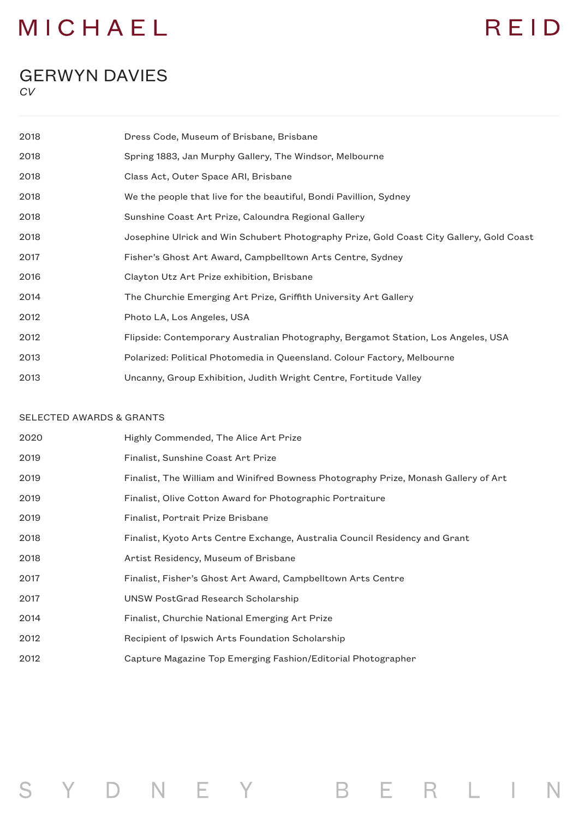### MICHAEL

### REID

#### GERWYN DAVIES

*CV*

| 2018 | Dress Code, Museum of Brisbane, Brisbane                                                 |
|------|------------------------------------------------------------------------------------------|
| 2018 | Spring 1883, Jan Murphy Gallery, The Windsor, Melbourne                                  |
| 2018 | Class Act, Outer Space ARI, Brisbane                                                     |
| 2018 | We the people that live for the beautiful, Bondi Pavillion, Sydney                       |
| 2018 | Sunshine Coast Art Prize, Caloundra Regional Gallery                                     |
| 2018 | Josephine Ulrick and Win Schubert Photography Prize, Gold Coast City Gallery, Gold Coast |
| 2017 | Fisher's Ghost Art Award, Campbelltown Arts Centre, Sydney                               |
| 2016 | Clayton Utz Art Prize exhibition, Brisbane                                               |
| 2014 | The Churchie Emerging Art Prize, Griffith University Art Gallery                         |
| 2012 | Photo LA, Los Angeles, USA                                                               |
| 2012 | Flipside: Contemporary Australian Photography, Bergamot Station, Los Angeles, USA        |
| 2013 | Polarized: Political Photomedia in Queensland. Colour Factory, Melbourne                 |
| 2013 | Uncanny, Group Exhibition, Judith Wright Centre, Fortitude Valley                        |

#### SELECTED AWARDS & GRANTS

S Y D N E Y

| 2020 | Highly Commended, The Alice Art Prize                                               |
|------|-------------------------------------------------------------------------------------|
| 2019 | Finalist, Sunshine Coast Art Prize                                                  |
| 2019 | Finalist, The William and Winifred Bowness Photography Prize, Monash Gallery of Art |
| 2019 | Finalist, Olive Cotton Award for Photographic Portraiture                           |
| 2019 | Finalist, Portrait Prize Brisbane                                                   |
| 2018 | Finalist, Kyoto Arts Centre Exchange, Australia Council Residency and Grant         |
| 2018 | Artist Residency, Museum of Brisbane                                                |
| 2017 | Finalist, Fisher's Ghost Art Award, Campbelltown Arts Centre                        |
| 2017 | UNSW PostGrad Research Scholarship                                                  |
| 2014 | Finalist, Churchie National Emerging Art Prize                                      |
| 2012 | Recipient of Ipswich Arts Foundation Scholarship                                    |
| 2012 | Capture Magazine Top Emerging Fashion/Editorial Photographer                        |

BERLIN